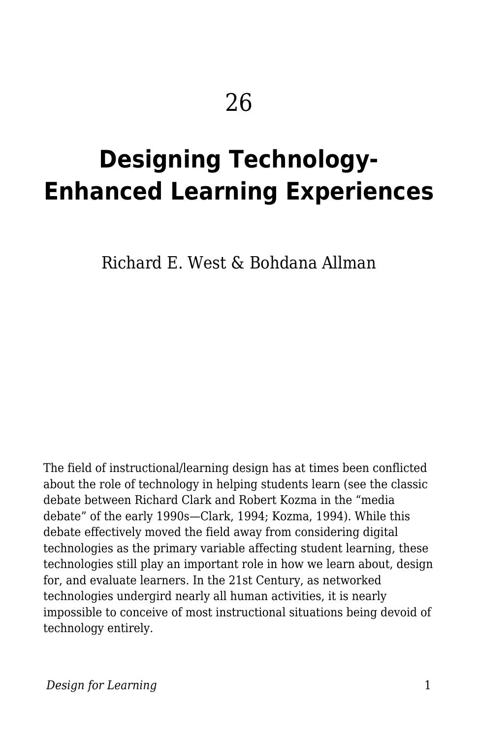# **Designing Technology-Enhanced Learning Experiences**

Richard E. West & Bohdana Allman

The field of instructional/learning design has at times been conflicted about the role of technology in helping students learn (see the classic debate between Richard Clark and Robert Kozma in the "media debate" of the early 1990s—Clark, 1994; Kozma, 1994). While this debate effectively moved the field away from considering digital technologies as the primary variable affecting student learning, these technologies still play an important role in how we learn about, design for, and evaluate learners. In the 21st Century, as networked technologies undergird nearly all human activities, it is nearly impossible to conceive of most instructional situations being devoid of technology entirely.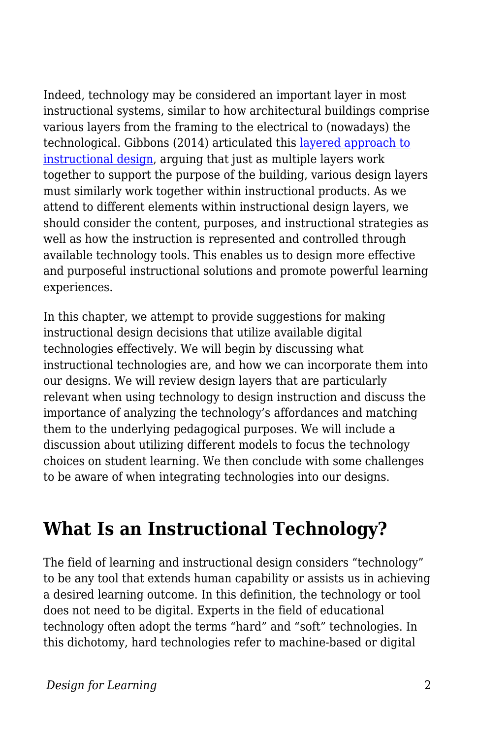Indeed, technology may be considered an important layer in most instructional systems, similar to how architectural buildings comprise various layers from the framing to the electrical to (nowadays) the technological. Gibbons (2014) articulated this [layered approach to](https://edtechbooks.org/studentguide/design_layers) [instructional design,](https://edtechbooks.org/studentguide/design_layers) arguing that just as multiple layers work together to support the purpose of the building, various design layers must similarly work together within instructional products. As we attend to different elements within instructional design layers, we should consider the content, purposes, and instructional strategies as well as how the instruction is represented and controlled through available technology tools. This enables us to design more effective and purposeful instructional solutions and promote powerful learning experiences.

In this chapter, we attempt to provide suggestions for making instructional design decisions that utilize available digital technologies effectively. We will begin by discussing what instructional technologies are, and how we can incorporate them into our designs. We will review design layers that are particularly relevant when using technology to design instruction and discuss the importance of analyzing the technology's affordances and matching them to the underlying pedagogical purposes. We will include a discussion about utilizing different models to focus the technology choices on student learning. We then conclude with some challenges to be aware of when integrating technologies into our designs.

## **What Is an Instructional Technology?**

The field of learning and instructional design considers "technology" to be any tool that extends human capability or assists us in achieving a desired learning outcome. In this definition, the technology or tool does not need to be digital. Experts in the field of educational technology often adopt the terms "hard" and "soft" technologies. In this dichotomy, hard technologies refer to machine-based or digital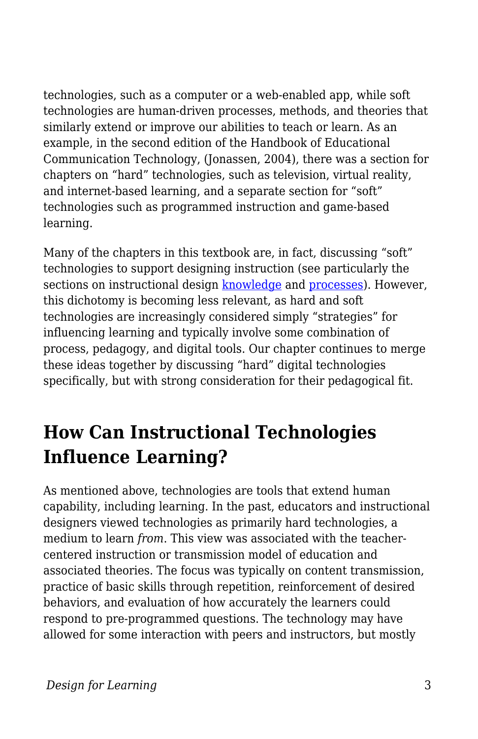technologies, such as a computer or a web-enabled app, while soft technologies are human-driven processes, methods, and theories that similarly extend or improve our abilities to teach or learn. As an example, in the second edition of the Handbook of Educational Communication Technology, (Jonassen, 2004), there was a section for chapters on "hard" technologies, such as television, virtual reality, and internet-based learning, and a separate section for "soft" technologies such as programmed instruction and game-based learning.

Many of the chapters in this textbook are, in fact, discussing "soft" technologies to support designing instruction (see particularly the sections on instructional design [knowledge](https://edtechbooks.org/id/instructional_design_knowledge) and [processes](https://edtechbooks.org/id/instructional_design)). However, this dichotomy is becoming less relevant, as hard and soft technologies are increasingly considered simply "strategies" for influencing learning and typically involve some combination of process, pedagogy, and digital tools. Our chapter continues to merge these ideas together by discussing "hard" digital technologies specifically, but with strong consideration for their pedagogical fit.

## **How Can Instructional Technologies Influence Learning?**

As mentioned above, technologies are tools that extend human capability, including learning. In the past, educators and instructional designers viewed technologies as primarily hard technologies, a medium to learn *from*. This view was associated with the teachercentered instruction or transmission model of education and associated theories. The focus was typically on content transmission, practice of basic skills through repetition, reinforcement of desired behaviors, and evaluation of how accurately the learners could respond to pre-programmed questions. The technology may have allowed for some interaction with peers and instructors, but mostly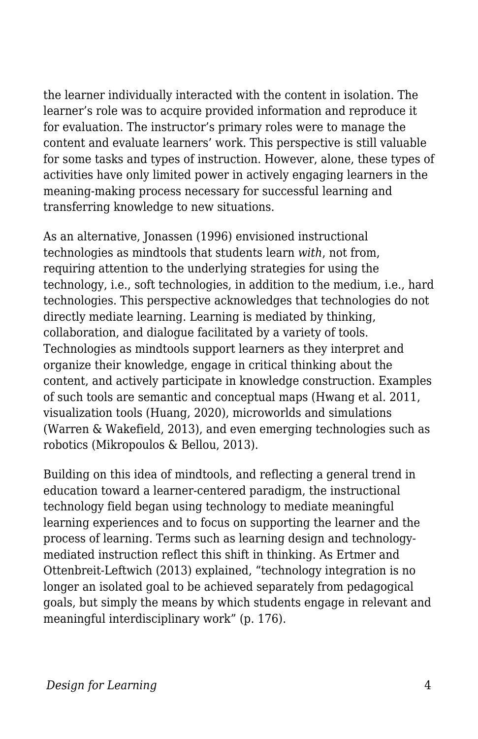the learner individually interacted with the content in isolation. The learner's role was to acquire provided information and reproduce it for evaluation. The instructor's primary roles were to manage the content and evaluate learners' work. This perspective is still valuable for some tasks and types of instruction. However, alone, these types of activities have only limited power in actively engaging learners in the meaning-making process necessary for successful learning and transferring knowledge to new situations.

As an alternative, Jonassen (1996) envisioned instructional technologies as mindtools that students learn *with*, not from, requiring attention to the underlying strategies for using the technology, i.e., soft technologies, in addition to the medium, i.e., hard technologies. This perspective acknowledges that technologies do not directly mediate learning. Learning is mediated by thinking, collaboration, and dialogue facilitated by a variety of tools. Technologies as mindtools support learners as they interpret and organize their knowledge, engage in critical thinking about the content, and actively participate in knowledge construction. Examples of such tools are semantic and conceptual maps (Hwang et al. 2011, visualization tools (Huang, 2020), microworlds and simulations (Warren & Wakefield, 2013), and even emerging technologies such as robotics (Mikropoulos & Bellou, 2013).

Building on this idea of mindtools, and reflecting a general trend in education toward a learner-centered paradigm, the instructional technology field began using technology to mediate meaningful learning experiences and to focus on supporting the learner and the process of learning. Terms such as learning design and technologymediated instruction reflect this shift in thinking. As Ertmer and Ottenbreit-Leftwich (2013) explained, "technology integration is no longer an isolated goal to be achieved separately from pedagogical goals, but simply the means by which students engage in relevant and meaningful interdisciplinary work" (p. 176).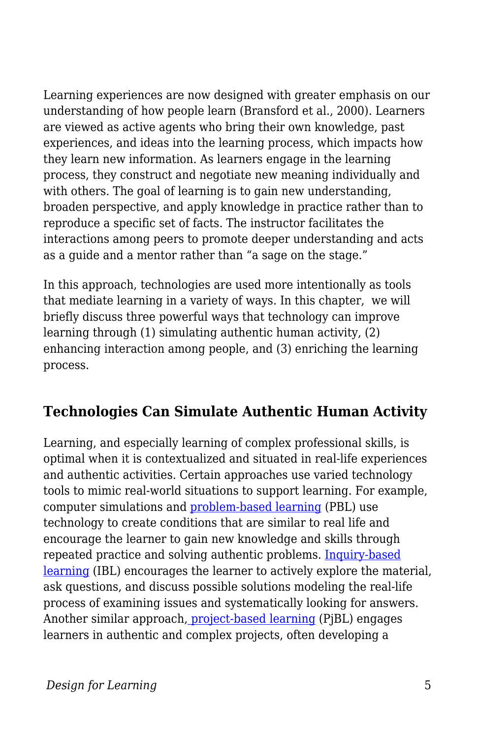Learning experiences are now designed with greater emphasis on our understanding of how people learn (Bransford et al., 2000). Learners are viewed as active agents who bring their own knowledge, past experiences, and ideas into the learning process, which impacts how they learn new information. As learners engage in the learning process, they construct and negotiate new meaning individually and with others. The goal of learning is to gain new understanding, broaden perspective, and apply knowledge in practice rather than to reproduce a specific set of facts. The instructor facilitates the interactions among peers to promote deeper understanding and acts as a guide and a mentor rather than "a sage on the stage."

In this approach, technologies are used more intentionally as tools that mediate learning in a variety of ways. In this chapter, we will briefly discuss three powerful ways that technology can improve learning through (1) simulating authentic human activity, (2) enhancing interaction among people, and (3) enriching the learning process.

#### **Technologies Can Simulate Authentic Human Activity**

Learning, and especially learning of complex professional skills, is optimal when it is contextualized and situated in real-life experiences and authentic activities. Certain approaches use varied technology tools to mimic real-world situations to support learning. For example, computer simulations and [problem-based learning](https://en.wikipedia.org/wiki/Problem-based_learning) (PBL) use technology to create conditions that are similar to real life and encourage the learner to gain new knowledge and skills through repeated practice and solving authentic problems. [Inquiry-based](https://elearningindustry.com/inquiry-based-learning-model) [learning](https://elearningindustry.com/inquiry-based-learning-model) (IBL) encourages the learner to actively explore the material, ask questions, and discuss possible solutions modeling the real-life process of examining issues and systematically looking for answers. Another similar approach, [project-based learning](https://en.wikipedia.org/wiki/Project-based_learning) (PjBL) engages learners in authentic and complex projects, often developing a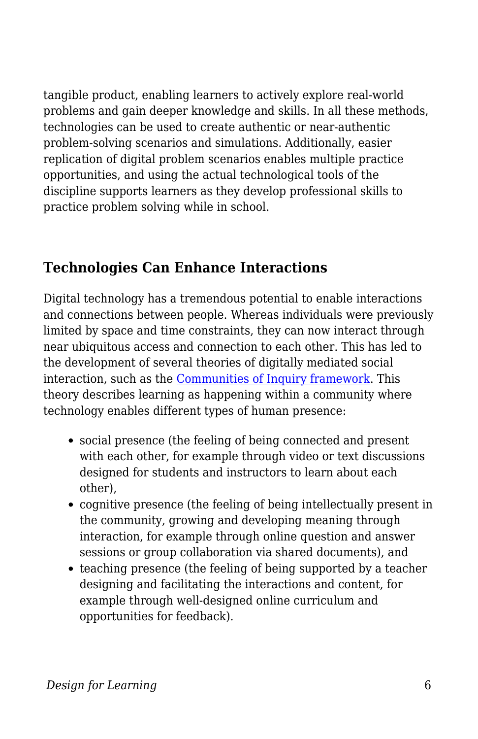tangible product, enabling learners to actively explore real-world problems and gain deeper knowledge and skills. In all these methods, technologies can be used to create authentic or near-authentic problem-solving scenarios and simulations. Additionally, easier replication of digital problem scenarios enables multiple practice opportunities, and using the actual technological tools of the discipline supports learners as they develop professional skills to practice problem solving while in school.

#### **Technologies Can Enhance Interactions**

Digital technology has a tremendous potential to enable interactions and connections between people. Whereas individuals were previously limited by space and time constraints, they can now interact through near ubiquitous access and connection to each other. This has led to the development of several theories of digitally mediated social interaction, such as the [Communities of Inquiry framework.](https://coi.athabascau.ca/coi-model) This theory describes learning as happening within a community where technology enables different types of human presence:

- social presence (the feeling of being connected and present with each other, for example through video or text discussions designed for students and instructors to learn about each other),
- cognitive presence (the feeling of being intellectually present in the community, growing and developing meaning through interaction, for example through online question and answer sessions or group collaboration via shared documents), and
- teaching presence (the feeling of being supported by a teacher designing and facilitating the interactions and content, for example through well-designed online curriculum and opportunities for feedback).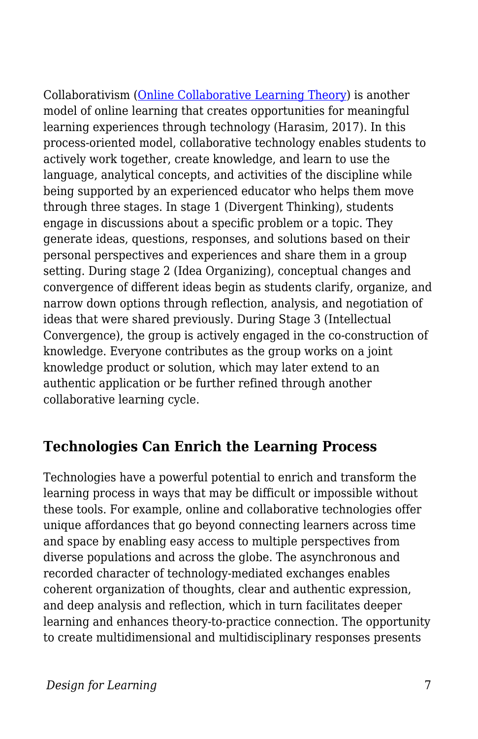Collaborativism [\(Online Collaborative Learning Theory](https://www.learning-theories.com/online-collaborative-learning-theory-harasim.html)) is another model of online learning that creates opportunities for meaningful learning experiences through technology (Harasim, 2017). In this process-oriented model, collaborative technology enables students to actively work together, create knowledge, and learn to use the language, analytical concepts, and activities of the discipline while being supported by an experienced educator who helps them move through three stages. In stage 1 (Divergent Thinking), students engage in discussions about a specific problem or a topic. They generate ideas, questions, responses, and solutions based on their personal perspectives and experiences and share them in a group setting. During stage 2 (Idea Organizing), conceptual changes and convergence of different ideas begin as students clarify, organize, and narrow down options through reflection, analysis, and negotiation of ideas that were shared previously. During Stage 3 (Intellectual Convergence), the group is actively engaged in the co-construction of knowledge. Everyone contributes as the group works on a joint knowledge product or solution, which may later extend to an authentic application or be further refined through another collaborative learning cycle.

#### **Technologies Can Enrich the Learning Process**

Technologies have a powerful potential to enrich and transform the learning process in ways that may be difficult or impossible without these tools. For example, online and collaborative technologies offer unique affordances that go beyond connecting learners across time and space by enabling easy access to multiple perspectives from diverse populations and across the globe. The asynchronous and recorded character of technology-mediated exchanges enables coherent organization of thoughts, clear and authentic expression, and deep analysis and reflection, which in turn facilitates deeper learning and enhances theory-to-practice connection. The opportunity to create multidimensional and multidisciplinary responses presents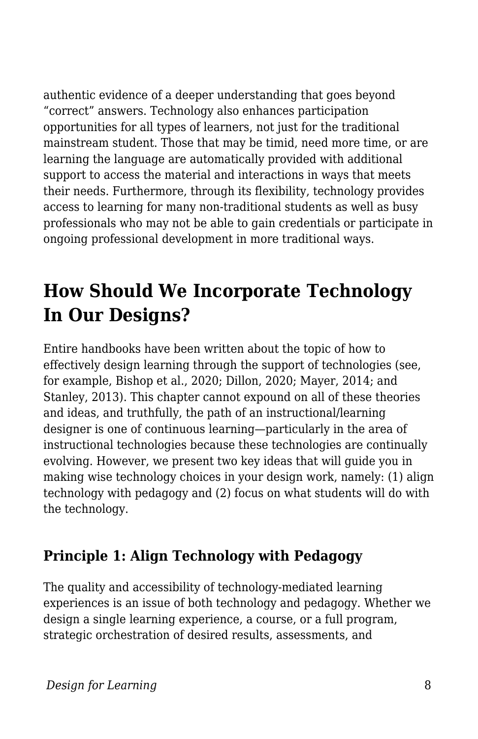authentic evidence of a deeper understanding that goes beyond "correct" answers. Technology also enhances participation opportunities for all types of learners, not just for the traditional mainstream student. Those that may be timid, need more time, or are learning the language are automatically provided with additional support to access the material and interactions in ways that meets their needs. Furthermore, through its flexibility, technology provides access to learning for many non-traditional students as well as busy professionals who may not be able to gain credentials or participate in ongoing professional development in more traditional ways.

## **How Should We Incorporate Technology In Our Designs?**

Entire handbooks have been written about the topic of how to effectively design learning through the support of technologies (see, for example, Bishop et al., 2020; Dillon, 2020; Mayer, 2014; and Stanley, 2013). This chapter cannot expound on all of these theories and ideas, and truthfully, the path of an instructional/learning designer is one of continuous learning—particularly in the area of instructional technologies because these technologies are continually evolving. However, we present two key ideas that will guide you in making wise technology choices in your design work, namely: (1) align technology with pedagogy and (2) focus on what students will do with the technology.

### **Principle 1: Align Technology with Pedagogy**

The quality and accessibility of technology-mediated learning experiences is an issue of both technology and pedagogy. Whether we design a single learning experience, a course, or a full program, strategic orchestration of desired results, assessments, and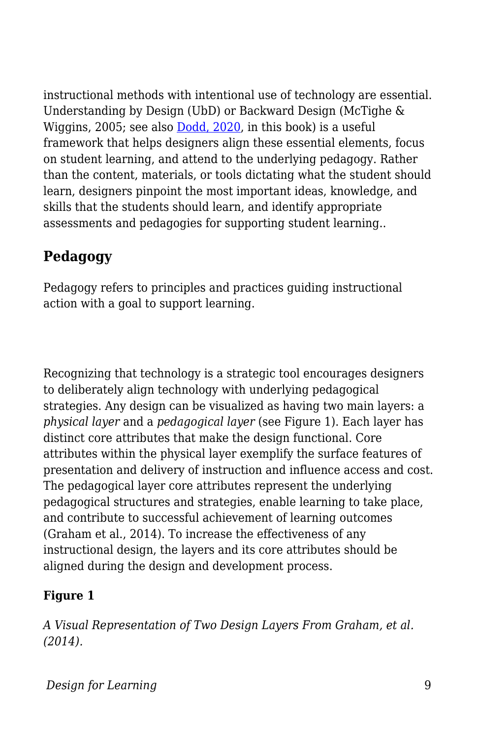instructional methods with intentional use of technology are essential. Understanding by Design (UbD) or Backward Design (McTighe & Wiggins, 2005; see also [Dodd, 2020](https://edtechbooks.org/id/curriculum_design_process), in this book) is a useful framework that helps designers align these essential elements, focus on student learning, and attend to the underlying pedagogy. Rather than the content, materials, or tools dictating what the student should learn, designers pinpoint the most important ideas, knowledge, and skills that the students should learn, and identify appropriate assessments and pedagogies for supporting student learning..

### **Pedagogy**

Pedagogy refers to principles and practices guiding instructional action with a goal to support learning.

Recognizing that technology is a strategic tool encourages designers to deliberately align technology with underlying pedagogical strategies. Any design can be visualized as having two main layers: a *physical layer* and a *pedagogical layer* (see Figure 1). Each layer has distinct core attributes that make the design functional. Core attributes within the physical layer exemplify the surface features of presentation and delivery of instruction and influence access and cost. The pedagogical layer core attributes represent the underlying pedagogical structures and strategies, enable learning to take place, and contribute to successful achievement of learning outcomes (Graham et al., 2014). To increase the effectiveness of any instructional design, the layers and its core attributes should be aligned during the design and development process.

#### **Figure 1**

*A Visual Representation of Two Design Layers From Graham, et al. (2014).*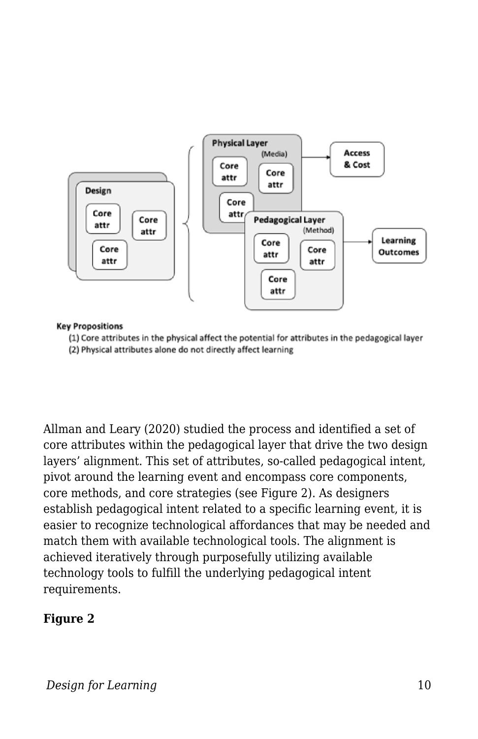

#### **Key Propositions**

(1) Core attributes in the physical affect the potential for attributes in the pedagogical layer

(2) Physical attributes alone do not directly affect learning

Allman and Leary (2020) studied the process and identified a set of core attributes within the pedagogical layer that drive the two design layers' alignment. This set of attributes, so-called pedagogical intent, pivot around the learning event and encompass core components, core methods, and core strategies (see Figure 2). As designers establish pedagogical intent related to a specific learning event, it is easier to recognize technological affordances that may be needed and match them with available technological tools. The alignment is achieved iteratively through purposefully utilizing available technology tools to fulfill the underlying pedagogical intent requirements.

#### **Figure 2**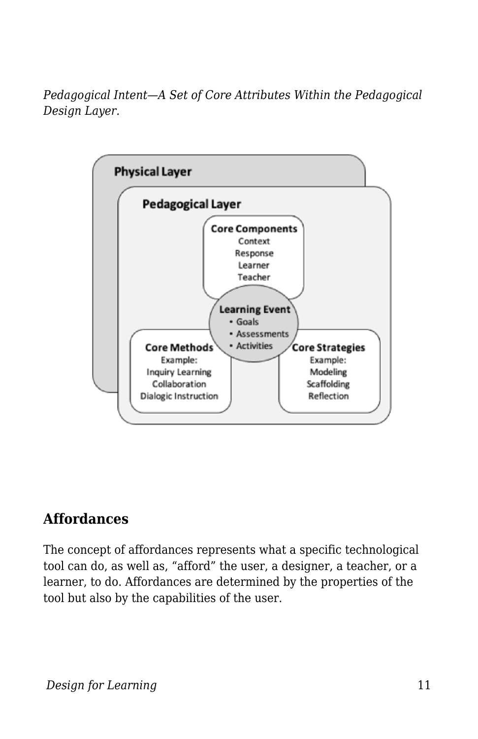*Pedagogical Intent—A Set of Core Attributes Within the Pedagogical Design Layer.*



#### **Affordances**

The concept of affordances represents what a specific technological tool can do, as well as, "afford" the user, a designer, a teacher, or a learner, to do. Affordances are determined by the properties of the tool but also by the capabilities of the user.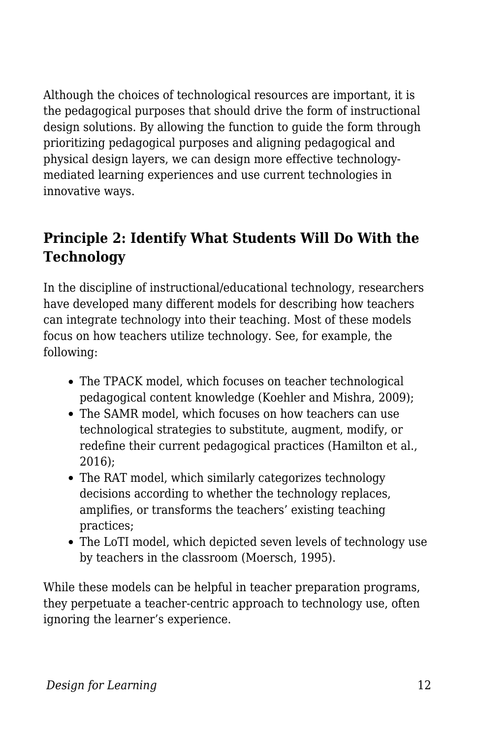Although the choices of technological resources are important, it is the pedagogical purposes that should drive the form of instructional design solutions. By allowing the function to guide the form through prioritizing pedagogical purposes and aligning pedagogical and physical design layers, we can design more effective technologymediated learning experiences and use current technologies in innovative ways.

### **Principle 2: Identify What Students Will Do With the Technology**

In the discipline of instructional/educational technology, researchers have developed many different models for describing how teachers can integrate technology into their teaching. Most of these models focus on how teachers utilize technology. See, for example, the following:

- The TPACK model, which focuses on teacher technological pedagogical content knowledge (Koehler and Mishra, 2009);
- The SAMR model, which focuses on how teachers can use technological strategies to substitute, augment, modify, or redefine their current pedagogical practices (Hamilton et al., 2016);
- The RAT model, which similarly categorizes technology decisions according to whether the technology replaces, amplifies, or transforms the teachers' existing teaching practices;
- The LoTI model, which depicted seven levels of technology use by teachers in the classroom (Moersch, 1995).

While these models can be helpful in teacher preparation programs, they perpetuate a teacher-centric approach to technology use, often ignoring the learner's experience.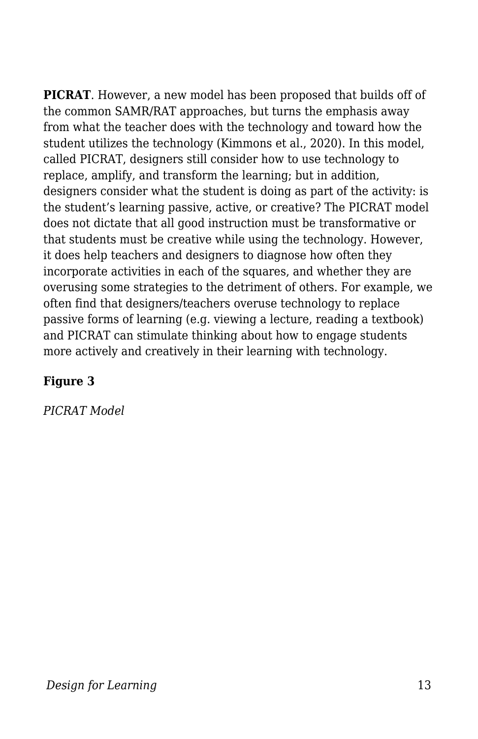**PICRAT**. However, a new model has been proposed that builds off of the common SAMR/RAT approaches, but turns the emphasis away from what the teacher does with the technology and toward how the student utilizes the technology (Kimmons et al., 2020). In this model, called PICRAT, designers still consider how to use technology to replace, amplify, and transform the learning; but in addition, designers consider what the student is doing as part of the activity: is the student's learning passive, active, or creative? The PICRAT model does not dictate that all good instruction must be transformative or that students must be creative while using the technology. However, it does help teachers and designers to diagnose how often they incorporate activities in each of the squares, and whether they are overusing some strategies to the detriment of others. For example, we often find that designers/teachers overuse technology to replace passive forms of learning (e.g. viewing a lecture, reading a textbook) and PICRAT can stimulate thinking about how to engage students more actively and creatively in their learning with technology.

#### **Figure 3**

*PICRAT Model*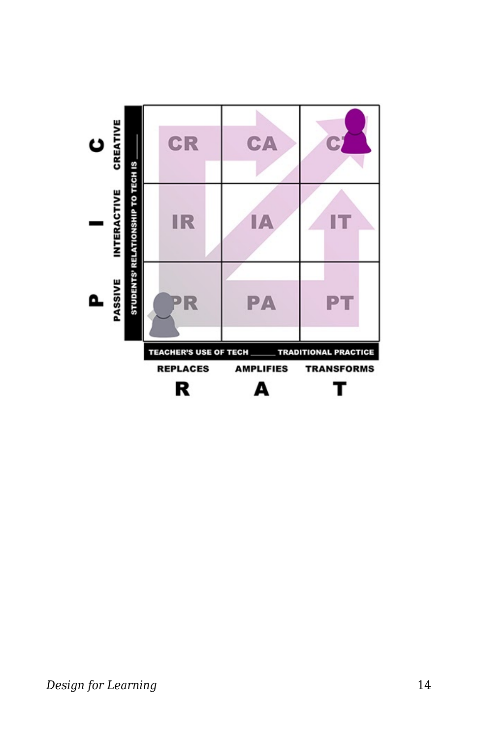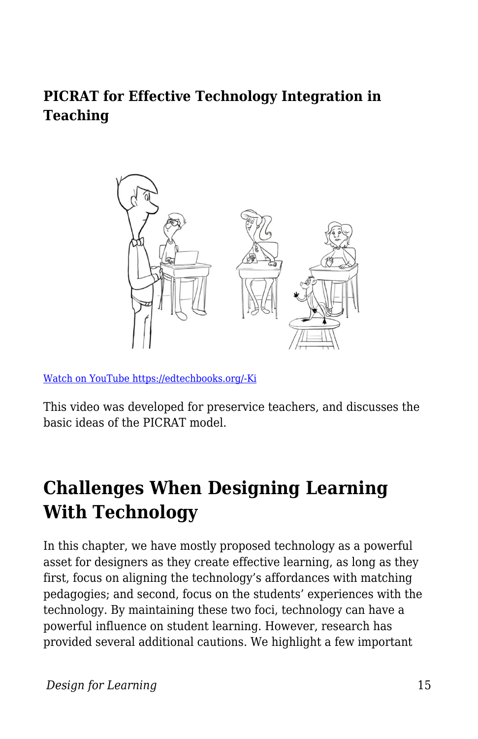#### **PICRAT for Effective Technology Integration in Teaching**



[Watch on YouTube https://edtechbooks.org/-Ki](https://www.youtube.com/embed/bfvuG620Bto?autoplay=1&rel=0&showinfo=0&modestbranding=1)

This video was developed for preservice teachers, and discusses the basic ideas of the PICRAT model.

## **Challenges When Designing Learning With Technology**

In this chapter, we have mostly proposed technology as a powerful asset for designers as they create effective learning, as long as they first, focus on aligning the technology's affordances with matching pedagogies; and second, focus on the students' experiences with the technology. By maintaining these two foci, technology can have a powerful influence on student learning. However, research has provided several additional cautions. We highlight a few important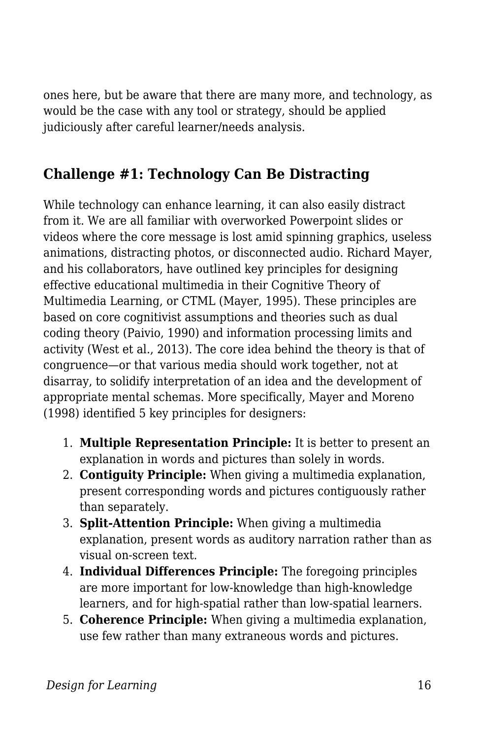ones here, but be aware that there are many more, and technology, as would be the case with any tool or strategy, should be applied judiciously after careful learner/needs analysis.

#### **Challenge #1: Technology Can Be Distracting**

While technology can enhance learning, it can also easily distract from it. We are all familiar with overworked Powerpoint slides or videos where the core message is lost amid spinning graphics, useless animations, distracting photos, or disconnected audio. Richard Mayer, and his collaborators, have outlined key principles for designing effective educational multimedia in their Cognitive Theory of Multimedia Learning, or CTML (Mayer, 1995). These principles are based on core cognitivist assumptions and theories such as dual coding theory (Paivio, 1990) and information processing limits and activity (West et al., 2013). The core idea behind the theory is that of congruence—or that various media should work together, not at disarray, to solidify interpretation of an idea and the development of appropriate mental schemas. More specifically, Mayer and Moreno (1998) identified 5 key principles for designers:

- 1. **Multiple Representation Principle:** It is better to present an explanation in words and pictures than solely in words.
- 2. **Contiguity Principle:** When giving a multimedia explanation, present corresponding words and pictures contiguously rather than separately.
- 3. **Split-Attention Principle:** When giving a multimedia explanation, present words as auditory narration rather than as visual on-screen text.
- 4. **Individual Differences Principle:** The foregoing principles are more important for low-knowledge than high-knowledge learners, and for high-spatial rather than low-spatial learners.
- 5. **Coherence Principle:** When giving a multimedia explanation, use few rather than many extraneous words and pictures.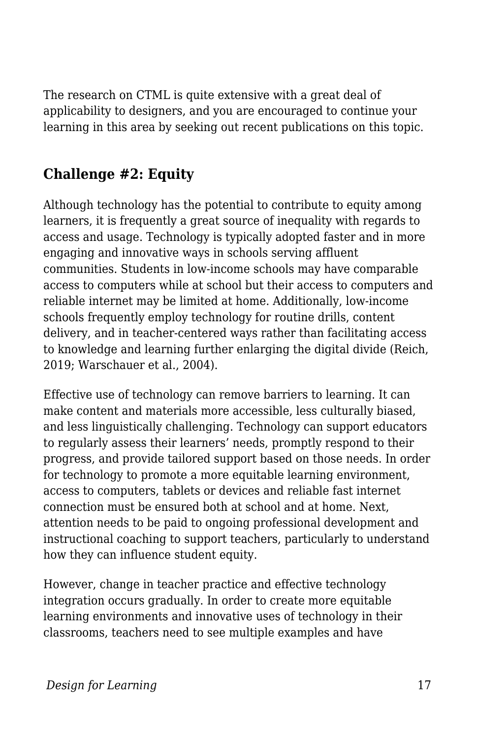The research on CTML is quite extensive with a great deal of applicability to designers, and you are encouraged to continue your learning in this area by seeking out recent publications on this topic.

#### **Challenge #2: Equity**

Although technology has the potential to contribute to equity among learners, it is frequently a great source of inequality with regards to access and usage. Technology is typically adopted faster and in more engaging and innovative ways in schools serving affluent communities. Students in low-income schools may have comparable access to computers while at school but their access to computers and reliable internet may be limited at home. Additionally, low-income schools frequently employ technology for routine drills, content delivery, and in teacher-centered ways rather than facilitating access to knowledge and learning further enlarging the digital divide (Reich, 2019; Warschauer et al., 2004).

Effective use of technology can remove barriers to learning. It can make content and materials more accessible, less culturally biased, and less linguistically challenging. Technology can support educators to regularly assess their learners' needs, promptly respond to their progress, and provide tailored support based on those needs. In order for technology to promote a more equitable learning environment, access to computers, tablets or devices and reliable fast internet connection must be ensured both at school and at home. Next, attention needs to be paid to ongoing professional development and instructional coaching to support teachers, particularly to understand how they can influence student equity.

However, change in teacher practice and effective technology integration occurs gradually. In order to create more equitable learning environments and innovative uses of technology in their classrooms, teachers need to see multiple examples and have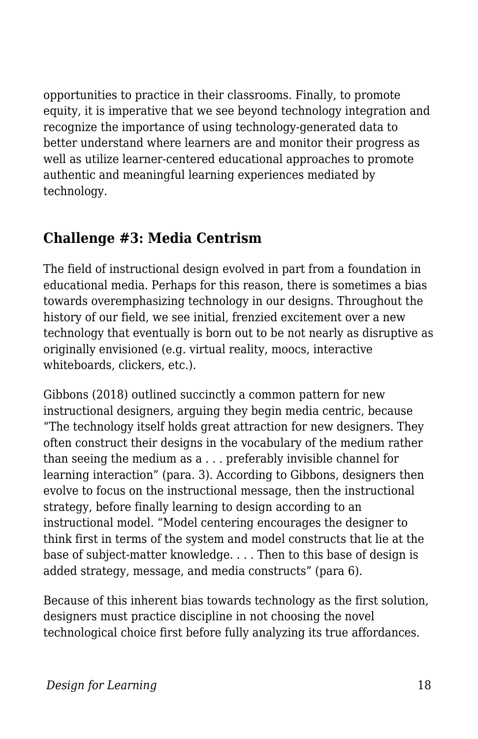opportunities to practice in their classrooms. Finally, to promote equity, it is imperative that we see beyond technology integration and recognize the importance of using technology-generated data to better understand where learners are and monitor their progress as well as utilize learner-centered educational approaches to promote authentic and meaningful learning experiences mediated by technology.

#### **Challenge #3: Media Centrism**

The field of instructional design evolved in part from a foundation in educational media. Perhaps for this reason, there is sometimes a bias towards overemphasizing technology in our designs. Throughout the history of our field, we see initial, frenzied excitement over a new technology that eventually is born out to be not nearly as disruptive as originally envisioned (e.g. virtual reality, moocs, interactive whiteboards, clickers, etc.).

Gibbons (2018) outlined succinctly a common pattern for new instructional designers, arguing they begin media centric, because "The technology itself holds great attraction for new designers. They often construct their designs in the vocabulary of the medium rather than seeing the medium as a . . . preferably invisible channel for learning interaction" (para. 3). According to Gibbons, designers then evolve to focus on the instructional message, then the instructional strategy, before finally learning to design according to an instructional model. "Model centering encourages the designer to think first in terms of the system and model constructs that lie at the base of subject-matter knowledge. . . . Then to this base of design is added strategy, message, and media constructs" (para 6).

Because of this inherent bias towards technology as the first solution, designers must practice discipline in not choosing the novel technological choice first before fully analyzing its true affordances.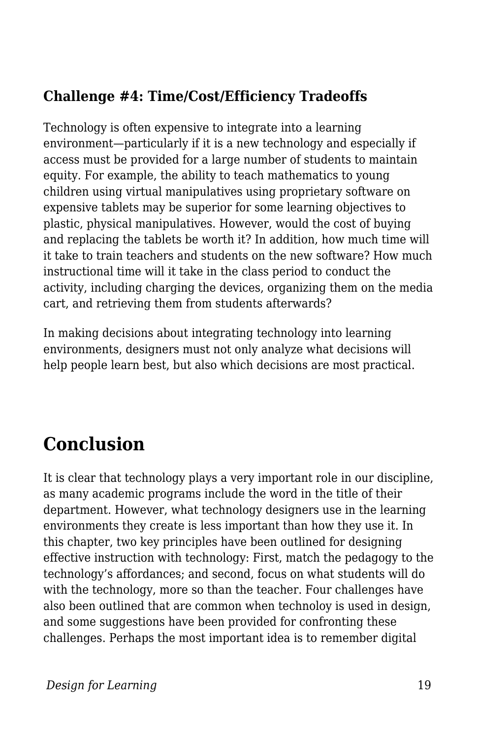### **Challenge #4: Time/Cost/Efficiency Tradeoffs**

Technology is often expensive to integrate into a learning environment—particularly if it is a new technology and especially if access must be provided for a large number of students to maintain equity. For example, the ability to teach mathematics to young children using virtual manipulatives using proprietary software on expensive tablets may be superior for some learning objectives to plastic, physical manipulatives. However, would the cost of buying and replacing the tablets be worth it? In addition, how much time will it take to train teachers and students on the new software? How much instructional time will it take in the class period to conduct the activity, including charging the devices, organizing them on the media cart, and retrieving them from students afterwards?

In making decisions about integrating technology into learning environments, designers must not only analyze what decisions will help people learn best, but also which decisions are most practical.

## **Conclusion**

It is clear that technology plays a very important role in our discipline, as many academic programs include the word in the title of their department. However, what technology designers use in the learning environments they create is less important than how they use it. In this chapter, two key principles have been outlined for designing effective instruction with technology: First, match the pedagogy to the technology's affordances; and second, focus on what students will do with the technology, more so than the teacher. Four challenges have also been outlined that are common when technoloy is used in design, and some suggestions have been provided for confronting these challenges. Perhaps the most important idea is to remember digital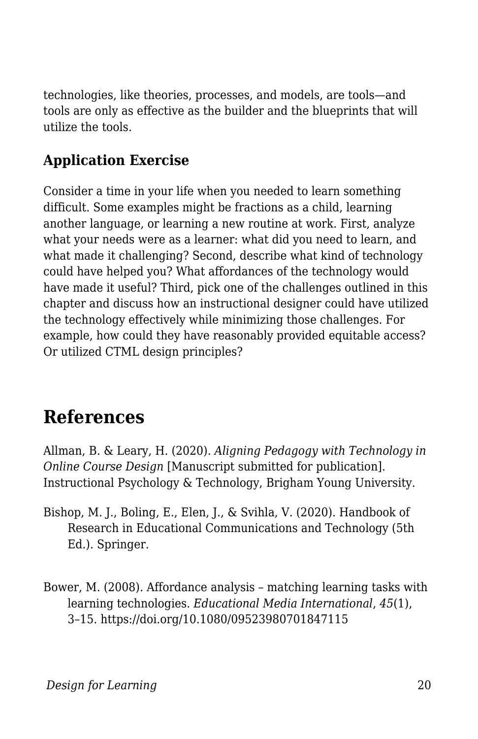technologies, like theories, processes, and models, are tools—and tools are only as effective as the builder and the blueprints that will utilize the tools.

### **Application Exercise**

Consider a time in your life when you needed to learn something difficult. Some examples might be fractions as a child, learning another language, or learning a new routine at work. First, analyze what your needs were as a learner: what did you need to learn, and what made it challenging? Second, describe what kind of technology could have helped you? What affordances of the technology would have made it useful? Third, pick one of the challenges outlined in this chapter and discuss how an instructional designer could have utilized the technology effectively while minimizing those challenges. For example, how could they have reasonably provided equitable access? Or utilized CTML design principles?

## **References**

Allman, B. & Leary, H. (2020). *Aligning Pedagogy with Technology in Online Course Design* [Manuscript submitted for publication]. Instructional Psychology & Technology, Brigham Young University.

- Bishop, M. J., Boling, E., Elen, J., & Svihla, V. (2020). Handbook of Research in Educational Communications and Technology (5th Ed.). Springer.
- Bower, M. (2008). Affordance analysis matching learning tasks with learning technologies. *Educational Media International*, *45*(1), 3–15. https://doi.org/10.1080/09523980701847115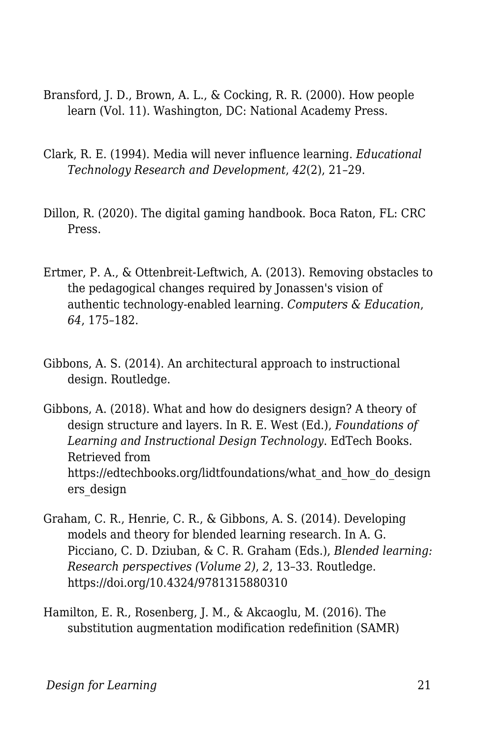- Bransford, J. D., Brown, A. L., & Cocking, R. R. (2000). How people learn (Vol. 11). Washington, DC: National Academy Press.
- Clark, R. E. (1994). Media will never influence learning. *Educational Technology Research and Development*, *42*(2), 21–29.
- Dillon, R. (2020). The digital gaming handbook. Boca Raton, FL: CRC Press.
- Ertmer, P. A., & Ottenbreit-Leftwich, A. (2013). Removing obstacles to the pedagogical changes required by Jonassen's vision of authentic technology-enabled learning. *Computers & Education*, *64*, 175–182.
- Gibbons, A. S. (2014). An architectural approach to instructional design. Routledge.
- Gibbons, A. (2018). What and how do designers design? A theory of design structure and layers. In R. E. West (Ed.), *Foundations of Learning and Instructional Design Technology*. EdTech Books. Retrieved from https://edtechbooks.org/lidtfoundations/what\_and\_how\_do\_design ers\_design
- Graham, C. R., Henrie, C. R., & Gibbons, A. S. (2014). Developing models and theory for blended learning research. In A. G. Picciano, C. D. Dziuban, & C. R. Graham (Eds.), *Blended learning: Research perspectives (Volume 2)*, *2*, 13–33. Routledge. https://doi.org/10.4324/9781315880310
- Hamilton, E. R., Rosenberg, J. M., & Akcaoglu, M. (2016). The substitution augmentation modification redefinition (SAMR)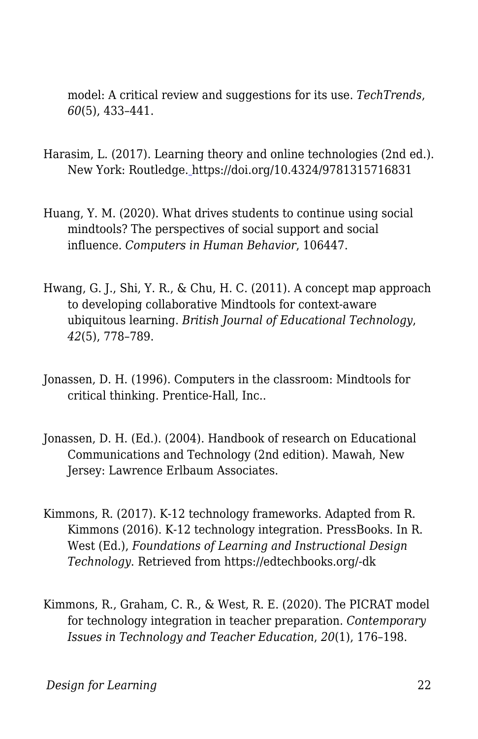model: A critical review and suggestions for its use. *TechTrends*, *60*(5), 433–441.

- Harasim, L. (2017). Learning theory and online technologies (2nd ed.). New York: Routledge[.](https://doi.org/10.4324/9781315716831) https://doi.org/10.4324/9781315716831
- Huang, Y. M. (2020). What drives students to continue using social mindtools? The perspectives of social support and social influence. *Computers in Human Behavior*, 106447.
- Hwang, G. J., Shi, Y. R., & Chu, H. C. (2011). A concept map approach to developing collaborative Mindtools for context-aware ubiquitous learning. *British Journal of Educational Technology*, *42*(5), 778–789.
- Jonassen, D. H. (1996). Computers in the classroom: Mindtools for critical thinking. Prentice-Hall, Inc..
- Jonassen, D. H. (Ed.). (2004). Handbook of research on Educational Communications and Technology (2nd edition). Mawah, New Jersey: Lawrence Erlbaum Associates.
- Kimmons, R. (2017). K-12 technology frameworks. Adapted from R. Kimmons (2016). K-12 technology integration. PressBooks. In R. West (Ed.), *Foundations of Learning and Instructional Design Technology*. Retrieved from https://edtechbooks.org/-dk
- Kimmons, R., Graham, C. R., & West, R. E. (2020). The PICRAT model for technology integration in teacher preparation. *Contemporary Issues in Technology and Teacher Education*, *20*(1), 176–198.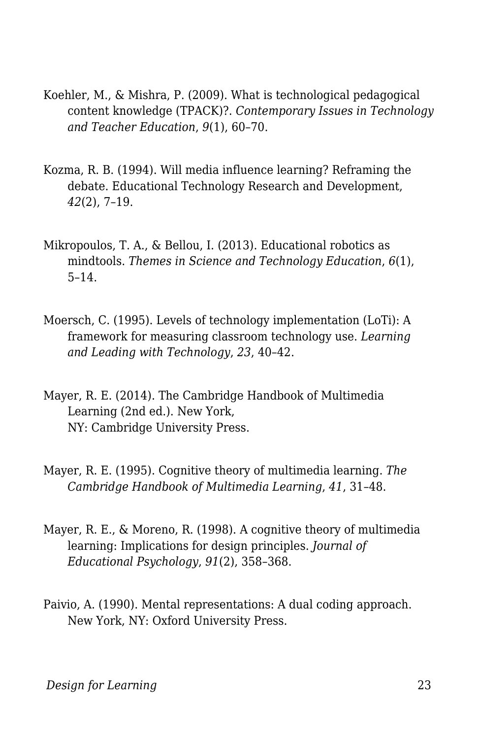- Koehler, M., & Mishra, P. (2009). What is technological pedagogical content knowledge (TPACK)?. *Contemporary Issues in Technology and Teacher Education*, *9*(1), 60–70.
- Kozma, R. B. (1994). Will media influence learning? Reframing the debate. Educational Technology Research and Development, *42*(2), 7–19.
- Mikropoulos, T. A., & Bellou, I. (2013). Educational robotics as mindtools. *Themes in Science and Technology Education*, *6*(1), 5–14.
- Moersch, C. (1995). Levels of technology implementation (LoTi): A framework for measuring classroom technology use. *Learning and Leading with Technology*, *23*, 40–42.
- Mayer, R. E. (2014). The Cambridge Handbook of Multimedia Learning (2nd ed.). New York, NY: Cambridge University Press.
- Mayer, R. E. (1995). Cognitive theory of multimedia learning. *The Cambridge Handbook of Multimedia Learning*, *41*, 31–48.
- Mayer, R. E., & Moreno, R. (1998). A cognitive theory of multimedia learning: Implications for design principles. *Journal of Educational Psychology*, *91*(2), 358–368.
- Paivio, A. (1990). Mental representations: A dual coding approach. New York, NY: Oxford University Press.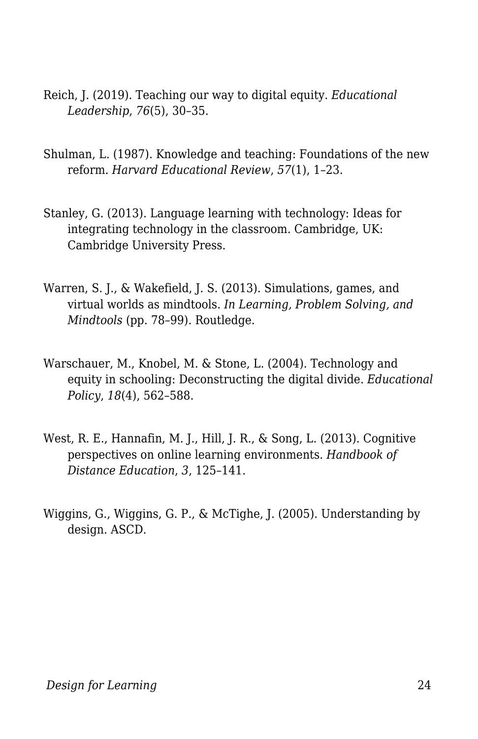- Reich, J. (2019). Teaching our way to digital equity. *Educational Leadership*, *76*(5), 30–35.
- Shulman, L. (1987). Knowledge and teaching: Foundations of the new reform. *Harvard Educational Review*, *57*(1), 1–23.
- Stanley, G. (2013). Language learning with technology: Ideas for integrating technology in the classroom. Cambridge, UK: Cambridge University Press.
- Warren, S. J., & Wakefield, J. S. (2013). Simulations, games, and virtual worlds as mindtools. *In Learning, Problem Solving, and Mindtools* (pp. 78–99). Routledge.
- Warschauer, M., Knobel, M. & Stone, L. (2004). Technology and equity in schooling: Deconstructing the digital divide. *Educational Policy*, *18*(4), 562–588.
- West, R. E., Hannafin, M. J., Hill, J. R., & Song, L. (2013). Cognitive perspectives on online learning environments. *Handbook of Distance Education*, *3*, 125–141.
- Wiggins, G., Wiggins, G. P., & McTighe, J. (2005). Understanding by design. ASCD.